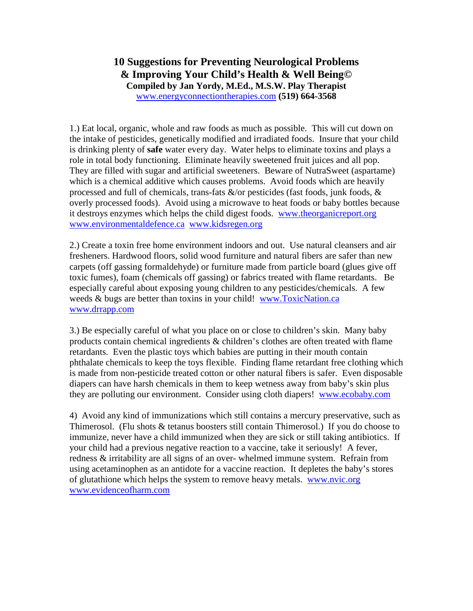## **10 Suggestions for Preventing Neurological Problems & Improving Your Child's Health & Well Being© Compiled by Jan Yordy, M.Ed., M.S.W. Play Therapist** www.energyconnectiontherapies.com **(519) 664-3568**

1.) Eat local, organic, whole and raw foods as much as possible. This will cut down on the intake of pesticides, genetically modified and irradiated foods. Insure that your child is drinking plenty of **safe** water every day. Water helps to eliminate toxins and plays a role in total body functioning. Eliminate heavily sweetened fruit juices and all pop. They are filled with sugar and artificial sweeteners. Beware of NutraSweet (aspartame) which is a chemical additive which causes problems. Avoid foods which are heavily processed and full of chemicals, trans-fats  $\&$ /or pesticides (fast foods, junk foods,  $\&$ overly processed foods). Avoid using a microwave to heat foods or baby bottles because it destroys enzymes which helps the child digest foods. www.theorganicreport.org www.environmentaldefence.ca www.kidsregen.org

2.) Create a toxin free home environment indoors and out. Use natural cleansers and air fresheners. Hardwood floors, solid wood furniture and natural fibers are safer than new carpets (off gassing formaldehyde) or furniture made from particle board (glues give off toxic fumes), foam (chemicals off gassing) or fabrics treated with flame retardants. Be especially careful about exposing young children to any pesticides/chemicals. A few weeds & bugs are better than toxins in your child! www.ToxicNation.ca www.drrapp.com

3.) Be especially careful of what you place on or close to children's skin. Many baby products contain chemical ingredients & children's clothes are often treated with flame retardants. Even the plastic toys which babies are putting in their mouth contain phthalate chemicals to keep the toys flexible. Finding flame retardant free clothing which is made from non-pesticide treated cotton or other natural fibers is safer. Even disposable diapers can have harsh chemicals in them to keep wetness away from baby's skin plus they are polluting our environment. Consider using cloth diapers! www.ecobaby.com

4) Avoid any kind of immunizations which still contains a mercury preservative, such as Thimerosol. (Flu shots & tetanus boosters still contain Thimerosol.) If you do choose to immunize, never have a child immunized when they are sick or still taking antibiotics. If your child had a previous negative reaction to a vaccine, take it seriously! A fever, redness & irritability are all signs of an over- whelmed immune system. Refrain from using acetaminophen as an antidote for a vaccine reaction. It depletes the baby's stores of glutathione which helps the system to remove heavy metals. www.nvic.org www.evidenceofharm.com